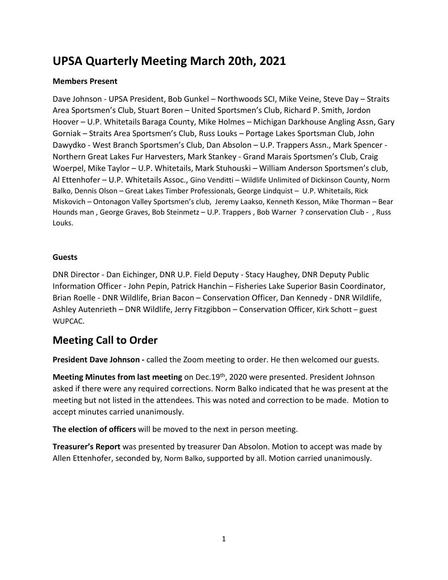# **UPSA Quarterly Meeting March 20th, 2021**

#### **Members Present**

Dave Johnson - UPSA President, Bob Gunkel – Northwoods SCI, Mike Veine, Steve Day – Straits Area Sportsmen's Club, Stuart Boren – United Sportsmen's Club, Richard P. Smith, Jordon Hoover – U.P. Whitetails Baraga County, Mike Holmes – Michigan Darkhouse Angling Assn, Gary Gorniak – Straits Area Sportsmen's Club, Russ Louks – Portage Lakes Sportsman Club, John Dawydko - West Branch Sportsmen's Club, Dan Absolon – U.P. Trappers Assn., Mark Spencer - Northern Great Lakes Fur Harvesters, Mark Stankey - Grand Marais Sportsmen's Club, Craig Woerpel, Mike Taylor – U.P. Whitetails, Mark Stuhouski – William Anderson Sportsmen's club, Al Ettenhofer – U.P. Whitetails Assoc., Gino Venditti – Wildlife Unlimited of Dickinson County, Norm Balko, Dennis Olson – Great Lakes Timber Professionals, George Lindquist – U.P. Whitetails, Rick Miskovich – Ontonagon Valley Sportsmen's club, Jeremy Laakso, Kenneth Kesson, Mike Thorman – Bear Hounds man , George Graves, Bob Steinmetz – U.P. Trappers , Bob Warner ? conservation Club - , Russ Louks.

#### **Guests**

DNR Director - Dan Eichinger, DNR U.P. Field Deputy - Stacy Haughey, DNR Deputy Public Information Officer - John Pepin, Patrick Hanchin – Fisheries Lake Superior Basin Coordinator, Brian Roelle - DNR Wildlife, Brian Bacon – Conservation Officer, Dan Kennedy - DNR Wildlife, Ashley Autenrieth – DNR Wildlife, Jerry Fitzgibbon – Conservation Officer, Kirk Schott – guest WUPCAC.

# **Meeting Call to Order**

**President Dave Johnson -** called the Zoom meeting to order. He then welcomed our guests.

**Meeting Minutes from last meeting** on Dec.19<sup>th</sup>, 2020 were presented. President Johnson asked if there were any required corrections. Norm Balko indicated that he was present at the meeting but not listed in the attendees. This was noted and correction to be made. Motion to accept minutes carried unanimously.

**The election of officers** will be moved to the next in person meeting.

**Treasurer's Report** was presented by treasurer Dan Absolon. Motion to accept was made by Allen Ettenhofer, seconded by, Norm Balko, supported by all. Motion carried unanimously.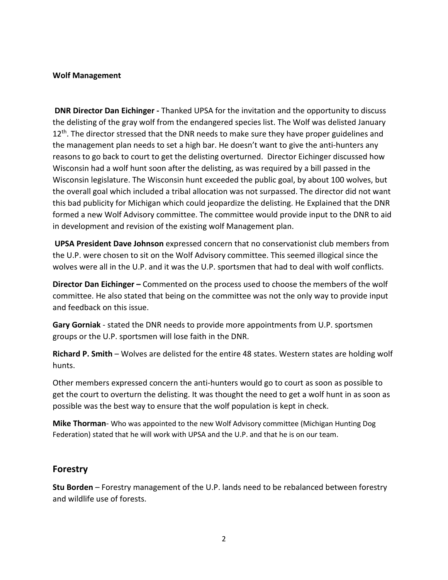#### **Wolf Management**

**DNR Director Dan Eichinger -** Thanked UPSA for the invitation and the opportunity to discuss the delisting of the gray wolf from the endangered species list. The Wolf was delisted January  $12<sup>th</sup>$ . The director stressed that the DNR needs to make sure they have proper guidelines and the management plan needs to set a high bar. He doesn't want to give the anti-hunters any reasons to go back to court to get the delisting overturned. Director Eichinger discussed how Wisconsin had a wolf hunt soon after the delisting, as was required by a bill passed in the Wisconsin legislature. The Wisconsin hunt exceeded the public goal, by about 100 wolves, but the overall goal which included a tribal allocation was not surpassed. The director did not want this bad publicity for Michigan which could jeopardize the delisting. He Explained that the DNR formed a new Wolf Advisory committee. The committee would provide input to the DNR to aid in development and revision of the existing wolf Management plan.

**UPSA President Dave Johnson** expressed concern that no conservationist club members from the U.P. were chosen to sit on the Wolf Advisory committee. This seemed illogical since the wolves were all in the U.P. and it was the U.P. sportsmen that had to deal with wolf conflicts.

**Director Dan Eichinger –** Commented on the process used to choose the members of the wolf committee. He also stated that being on the committee was not the only way to provide input and feedback on this issue.

**Gary Gorniak** - stated the DNR needs to provide more appointments from U.P. sportsmen groups or the U.P. sportsmen will lose faith in the DNR.

**Richard P. Smith** – Wolves are delisted for the entire 48 states. Western states are holding wolf hunts.

Other members expressed concern the anti-hunters would go to court as soon as possible to get the court to overturn the delisting. It was thought the need to get a wolf hunt in as soon as possible was the best way to ensure that the wolf population is kept in check.

**Mike Thorman**- Who was appointed to the new Wolf Advisory committee (Michigan Hunting Dog Federation) stated that he will work with UPSA and the U.P. and that he is on our team.

#### **Forestry**

**Stu Borden** – Forestry management of the U.P. lands need to be rebalanced between forestry and wildlife use of forests.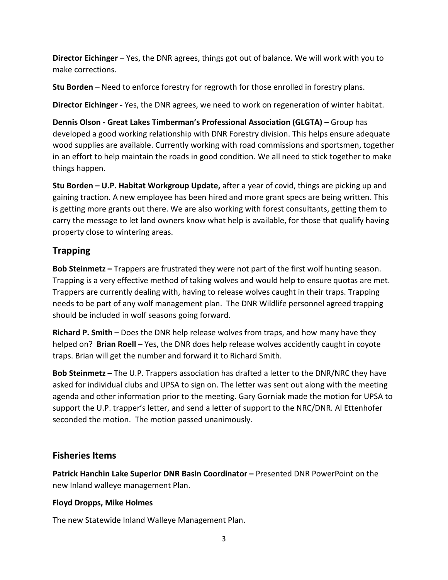**Director Eichinger** – Yes, the DNR agrees, things got out of balance. We will work with you to make corrections.

**Stu Borden** – Need to enforce forestry for regrowth for those enrolled in forestry plans.

**Director Eichinger -** Yes, the DNR agrees, we need to work on regeneration of winter habitat.

**Dennis Olson - Great Lakes Timberman's Professional Association (GLGTA)** – Group has developed a good working relationship with DNR Forestry division. This helps ensure adequate wood supplies are available. Currently working with road commissions and sportsmen, together in an effort to help maintain the roads in good condition. We all need to stick together to make things happen.

**Stu Borden – U.P. Habitat Workgroup Update,** after a year of covid, things are picking up and gaining traction. A new employee has been hired and more grant specs are being written. This is getting more grants out there. We are also working with forest consultants, getting them to carry the message to let land owners know what help is available, for those that qualify having property close to wintering areas.

# **Trapping**

**Bob Steinmetz –** Trappers are frustrated they were not part of the first wolf hunting season. Trapping is a very effective method of taking wolves and would help to ensure quotas are met. Trappers are currently dealing with, having to release wolves caught in their traps. Trapping needs to be part of any wolf management plan. The DNR Wildlife personnel agreed trapping should be included in wolf seasons going forward.

**Richard P. Smith –** Does the DNR help release wolves from traps, and how many have they helped on? **Brian Roell** – Yes, the DNR does help release wolves accidently caught in coyote traps. Brian will get the number and forward it to Richard Smith.

**Bob Steinmetz –** The U.P. Trappers association has drafted a letter to the DNR/NRC they have asked for individual clubs and UPSA to sign on. The letter was sent out along with the meeting agenda and other information prior to the meeting. Gary Gorniak made the motion for UPSA to support the U.P. trapper's letter, and send a letter of support to the NRC/DNR. Al Ettenhofer seconded the motion. The motion passed unanimously.

#### **Fisheries Items**

**Patrick Hanchin Lake Superior DNR Basin Coordinator –** Presented DNR PowerPoint on the new Inland walleye management Plan.

#### **Floyd Dropps, Mike Holmes**

The new Statewide Inland Walleye Management Plan.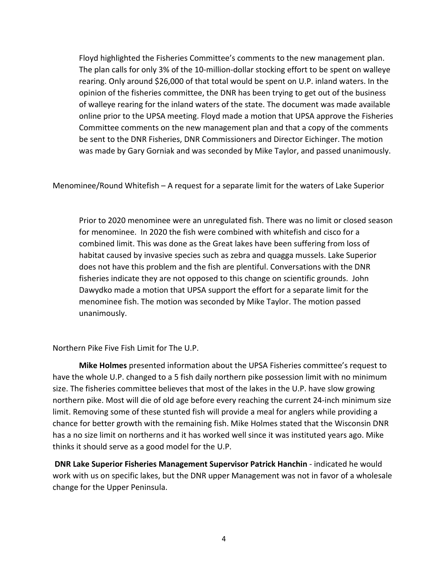Floyd highlighted the Fisheries Committee's comments to the new management plan. The plan calls for only 3% of the 10-million-dollar stocking effort to be spent on walleye rearing. Only around \$26,000 of that total would be spent on U.P. inland waters. In the opinion of the fisheries committee, the DNR has been trying to get out of the business of walleye rearing for the inland waters of the state. The document was made available online prior to the UPSA meeting. Floyd made a motion that UPSA approve the Fisheries Committee comments on the new management plan and that a copy of the comments be sent to the DNR Fisheries, DNR Commissioners and Director Eichinger. The motion was made by Gary Gorniak and was seconded by Mike Taylor, and passed unanimously.

Menominee/Round Whitefish – A request for a separate limit for the waters of Lake Superior

Prior to 2020 menominee were an unregulated fish. There was no limit or closed season for menominee. In 2020 the fish were combined with whitefish and cisco for a combined limit. This was done as the Great lakes have been suffering from loss of habitat caused by invasive species such as zebra and quagga mussels. Lake Superior does not have this problem and the fish are plentiful. Conversations with the DNR fisheries indicate they are not opposed to this change on scientific grounds. John Dawydko made a motion that UPSA support the effort for a separate limit for the menominee fish. The motion was seconded by Mike Taylor. The motion passed unanimously.

Northern Pike Five Fish Limit for The U.P.

**Mike Holmes** presented information about the UPSA Fisheries committee's request to have the whole U.P. changed to a 5 fish daily northern pike possession limit with no minimum size. The fisheries committee believes that most of the lakes in the U.P. have slow growing northern pike. Most will die of old age before every reaching the current 24-inch minimum size limit. Removing some of these stunted fish will provide a meal for anglers while providing a chance for better growth with the remaining fish. Mike Holmes stated that the Wisconsin DNR has a no size limit on northerns and it has worked well since it was instituted years ago. Mike thinks it should serve as a good model for the U.P.

**DNR Lake Superior Fisheries Management Supervisor Patrick Hanchin** - indicated he would work with us on specific lakes, but the DNR upper Management was not in favor of a wholesale change for the Upper Peninsula.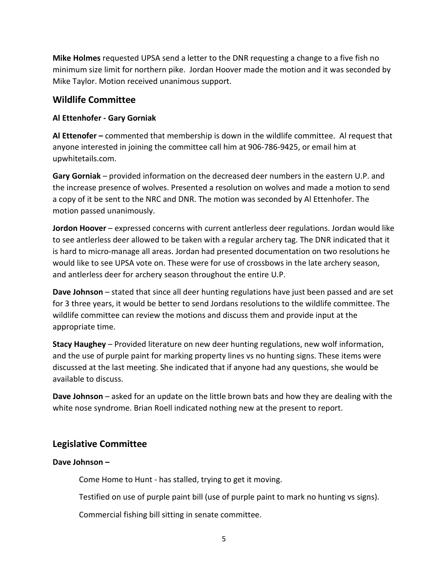**Mike Holmes** requested UPSA send a letter to the DNR requesting a change to a five fish no minimum size limit for northern pike. Jordan Hoover made the motion and it was seconded by Mike Taylor. Motion received unanimous support.

## **Wildlife Committee**

#### **Al Ettenhofer - Gary Gorniak**

**Al Ettenofer –** commented that membership is down in the wildlife committee. Al request that anyone interested in joining the committee call him at 906-786-9425, or email him at upwhitetails.com.

**Gary Gorniak** – provided information on the decreased deer numbers in the eastern U.P. and the increase presence of wolves. Presented a resolution on wolves and made a motion to send a copy of it be sent to the NRC and DNR. The motion was seconded by Al Ettenhofer. The motion passed unanimously.

**Jordon Hoover** – expressed concerns with current antlerless deer regulations. Jordan would like to see antlerless deer allowed to be taken with a regular archery tag. The DNR indicated that it is hard to micro-manage all areas. Jordan had presented documentation on two resolutions he would like to see UPSA vote on. These were for use of crossbows in the late archery season, and antlerless deer for archery season throughout the entire U.P.

**Dave Johnson** – stated that since all deer hunting regulations have just been passed and are set for 3 three years, it would be better to send Jordans resolutions to the wildlife committee. The wildlife committee can review the motions and discuss them and provide input at the appropriate time.

**Stacy Haughey** – Provided literature on new deer hunting regulations, new wolf information, and the use of purple paint for marking property lines vs no hunting signs. These items were discussed at the last meeting. She indicated that if anyone had any questions, she would be available to discuss.

**Dave Johnson** – asked for an update on the little brown bats and how they are dealing with the white nose syndrome. Brian Roell indicated nothing new at the present to report.

## **Legislative Committee**

#### **Dave Johnson –**

Come Home to Hunt - has stalled, trying to get it moving.

Testified on use of purple paint bill (use of purple paint to mark no hunting vs signs).

Commercial fishing bill sitting in senate committee.